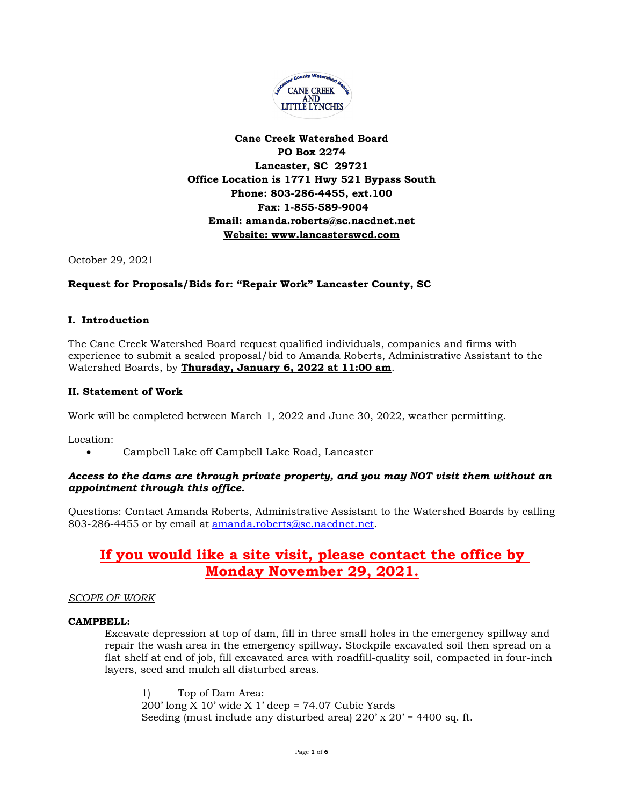

#### **Cane Creek Watershed Board PO Box 2274 Lancaster, SC 29721 Office Location is 1771 Hwy 521 Bypass South Phone: 803-286-4455, ext.100 Fax: 1-855-589-9004 Email: [amanda.roberts@sc.nacdnet.net](mailto:amanda.roberts@sc.nacdnet.net) Website: [www.lancasterswcd.com](http://www.lancasterswcd.com/)**

October 29, 2021

#### **Request for Proposals/Bids for: "Repair Work" Lancaster County, SC**

#### **I. Introduction**

The Cane Creek Watershed Board request qualified individuals, companies and firms with experience to submit a sealed proposal/bid to Amanda Roberts, Administrative Assistant to the Watershed Boards, by **Thursday, January 6, 2022 at 11:00 am**.

#### **II. Statement of Work**

Work will be completed between March 1, 2022 and June 30, 2022, weather permitting.

Location:

• Campbell Lake off Campbell Lake Road, Lancaster

#### *Access to the dams are through private property, and you may NOT visit them without an appointment through this office.*

Questions: Contact Amanda Roberts, Administrative Assistant to the Watershed Boards by calling 803-286-4455 or by email at [amanda.roberts@sc.nacdnet.net.](mailto:amanda.roberts@sc.nacdnet.net)

### **If you would like a site visit, please contact the office by Monday November 29, 2021.**

#### *SCOPE OF WORK*

#### **CAMPBELL:**

Excavate depression at top of dam, fill in three small holes in the emergency spillway and repair the wash area in the emergency spillway. Stockpile excavated soil then spread on a flat shelf at end of job, fill excavated area with roadfill-quality soil, compacted in four-inch layers, seed and mulch all disturbed areas.

1) Top of Dam Area: 200' long X 10' wide X 1' deep = 74.07 Cubic Yards Seeding (must include any disturbed area)  $220'$  x  $20'$  = 4400 sq. ft.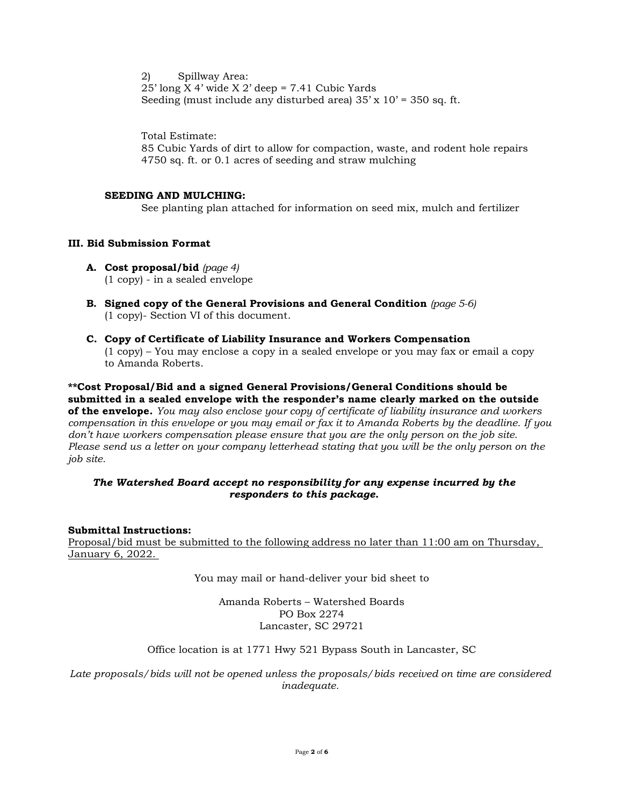2) Spillway Area:  $25'$  long X 4' wide X 2' deep = 7.41 Cubic Yards Seeding (must include any disturbed area)  $35' \times 10' = 350$  sq. ft.

Total Estimate:

85 Cubic Yards of dirt to allow for compaction, waste, and rodent hole repairs 4750 sq. ft. or 0.1 acres of seeding and straw mulching

#### **SEEDING AND MULCHING:**

See planting plan attached for information on seed mix, mulch and fertilizer

#### **III. Bid Submission Format**

- **A. Cost proposal/bid** *(page 4)* (1 copy) - in a sealed envelope
- **B. Signed copy of the General Provisions and General Condition** *(page 5-6)* (1 copy)- Section VI of this document.
- **C. Copy of Certificate of Liability Insurance and Workers Compensation** (1 copy) – You may enclose a copy in a sealed envelope or you may fax or email a copy to Amanda Roberts.

**\*\*Cost Proposal/Bid and a signed General Provisions/General Conditions should be submitted in a sealed envelope with the responder's name clearly marked on the outside of the envelope.** *You may also enclose your copy of certificate of liability insurance and workers compensation in this envelope or you may email or fax it to Amanda Roberts by the deadline. If you don't have workers compensation please ensure that you are the only person on the job site. Please send us a letter on your company letterhead stating that you will be the only person on the job site.* 

#### *The Watershed Board accept no responsibility for any expense incurred by the responders to this package.*

#### **Submittal Instructions:**

Proposal/bid must be submitted to the following address no later than 11:00 am on Thursday, January 6, 2022.

You may mail or hand-deliver your bid sheet to

Amanda Roberts – Watershed Boards PO Box 2274 Lancaster, SC 29721

Office location is at 1771 Hwy 521 Bypass South in Lancaster, SC

*Late proposals/bids will not be opened unless the proposals/bids received on time are considered inadequate.*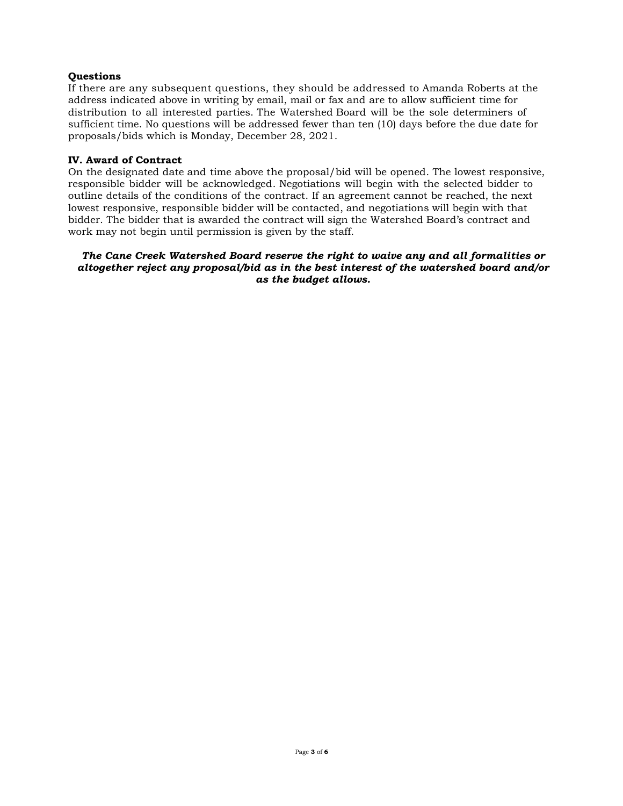#### **Questions**

If there are any subsequent questions, they should be addressed to Amanda Roberts at the address indicated above in writing by email, mail or fax and are to allow sufficient time for distribution to all interested parties. The Watershed Board will be the sole determiners of sufficient time. No questions will be addressed fewer than ten (10) days before the due date for proposals/bids which is Monday, December 28, 2021.

#### **IV. Award of Contract**

On the designated date and time above the proposal/bid will be opened. The lowest responsive, responsible bidder will be acknowledged. Negotiations will begin with the selected bidder to outline details of the conditions of the contract. If an agreement cannot be reached, the next lowest responsive, responsible bidder will be contacted, and negotiations will begin with that bidder. The bidder that is awarded the contract will sign the Watershed Board's contract and work may not begin until permission is given by the staff.

#### *The Cane Creek Watershed Board reserve the right to waive any and all formalities or altogether reject any proposal/bid as in the best interest of the watershed board and/or as the budget allows.*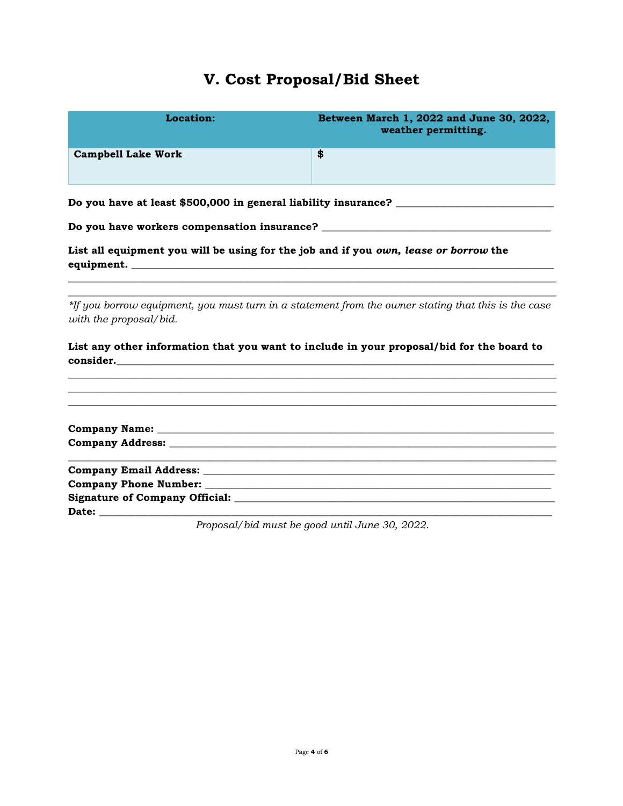# **V. Cost Proposal/Bid Sheet**

| Location:                                                                                 | Between March 1, 2022 and June 30, 2022,<br>weather permitting.                                     |  |  |
|-------------------------------------------------------------------------------------------|-----------------------------------------------------------------------------------------------------|--|--|
| <b>Campbell Lake Work</b>                                                                 | \$                                                                                                  |  |  |
|                                                                                           | Do you have at least \$500,000 in general liability insurance? __________________                   |  |  |
|                                                                                           |                                                                                                     |  |  |
| List all equipment you will be using for the job and if you own, lease or borrow the      |                                                                                                     |  |  |
| with the proposal/bid.                                                                    | *If you borrow equipment, you must turn in a statement from the owner stating that this is the case |  |  |
| List any other information that you want to include in your proposal/bid for the board to |                                                                                                     |  |  |
|                                                                                           |                                                                                                     |  |  |
|                                                                                           |                                                                                                     |  |  |
|                                                                                           |                                                                                                     |  |  |
|                                                                                           | Proposal/bid must be good until June 30, 2022.                                                      |  |  |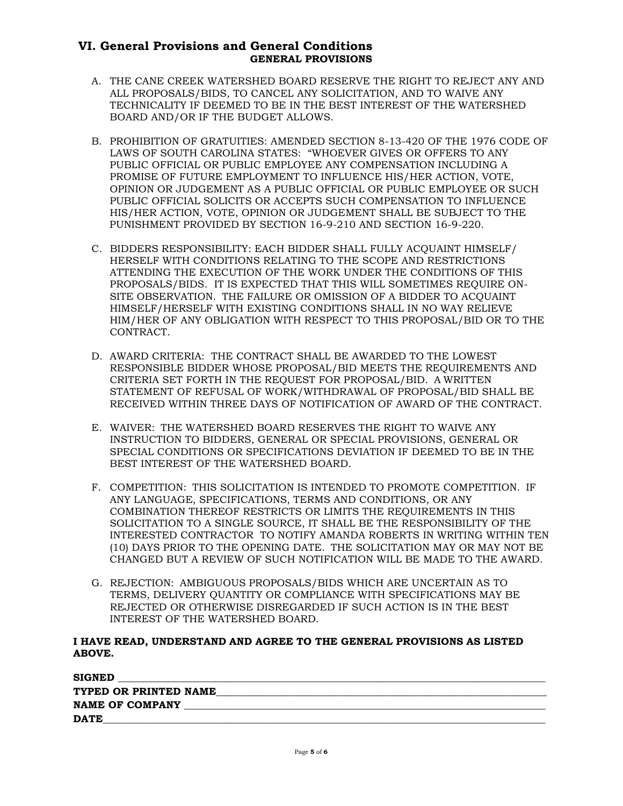#### **VI. General Provisions and General Conditions GENERAL PROVISIONS**

- A. THE CANE CREEK WATERSHED BOARD RESERVE THE RIGHT TO REJECT ANY AND ALL PROPOSALS/BIDS, TO CANCEL ANY SOLICITATION, AND TO WAIVE ANY TECHNICALITY IF DEEMED TO BE IN THE BEST INTEREST OF THE WATERSHED BOARD AND/OR IF THE BUDGET ALLOWS.
- B. PROHIBITION OF GRATUITIES: AMENDED SECTION 8-13-420 OF THE 1976 CODE OF LAWS OF SOUTH CAROLINA STATES: "WHOEVER GIVES OR OFFERS TO ANY PUBLIC OFFICIAL OR PUBLIC EMPLOYEE ANY COMPENSATION INCLUDING A PROMISE OF FUTURE EMPLOYMENT TO INFLUENCE HIS/HER ACTION, VOTE, OPINION OR JUDGEMENT AS A PUBLIC OFFICIAL OR PUBLIC EMPLOYEE OR SUCH PUBLIC OFFICIAL SOLICITS OR ACCEPTS SUCH COMPENSATION TO INFLUENCE HIS/HER ACTION, VOTE, OPINION OR JUDGEMENT SHALL BE SUBJECT TO THE PUNISHMENT PROVIDED BY SECTION 16-9-210 AND SECTION 16-9-220.
- C. BIDDERS RESPONSIBILITY: EACH BIDDER SHALL FULLY ACQUAINT HIMSELF/ HERSELF WITH CONDITIONS RELATING TO THE SCOPE AND RESTRICTIONS ATTENDING THE EXECUTION OF THE WORK UNDER THE CONDITIONS OF THIS PROPOSALS/BIDS. IT IS EXPECTED THAT THIS WILL SOMETIMES REQUIRE ON-SITE OBSERVATION. THE FAILURE OR OMISSION OF A BIDDER TO ACQUAINT HIMSELF/HERSELF WITH EXISTING CONDITIONS SHALL IN NO WAY RELIEVE HIM/HER OF ANY OBLIGATION WITH RESPECT TO THIS PROPOSAL/BID OR TO THE CONTRACT.
- D. AWARD CRITERIA: THE CONTRACT SHALL BE AWARDED TO THE LOWEST RESPONSIBLE BIDDER WHOSE PROPOSAL/BID MEETS THE REQUIREMENTS AND CRITERIA SET FORTH IN THE REQUEST FOR PROPOSAL/BID. A WRITTEN STATEMENT OF REFUSAL OF WORK/WITHDRAWAL OF PROPOSAL/BID SHALL BE RECEIVED WITHIN THREE DAYS OF NOTIFICATION OF AWARD OF THE CONTRACT.
- E. WAIVER: THE WATERSHED BOARD RESERVES THE RIGHT TO WAIVE ANY INSTRUCTION TO BIDDERS, GENERAL OR SPECIAL PROVISIONS, GENERAL OR SPECIAL CONDITIONS OR SPECIFICATIONS DEVIATION IF DEEMED TO BE IN THE BEST INTEREST OF THE WATERSHED BOARD.
- F. COMPETITION: THIS SOLICITATION IS INTENDED TO PROMOTE COMPETITION. IF ANY LANGUAGE, SPECIFICATIONS, TERMS AND CONDITIONS, OR ANY COMBINATION THEREOF RESTRICTS OR LIMITS THE REQUIREMENTS IN THIS SOLICITATION TO A SINGLE SOURCE, IT SHALL BE THE RESPONSIBILITY OF THE INTERESTED CONTRACTOR TO NOTIFY AMANDA ROBERTS IN WRITING WITHIN TEN (10) DAYS PRIOR TO THE OPENING DATE. THE SOLICITATION MAY OR MAY NOT BE CHANGED BUT A REVIEW OF SUCH NOTIFICATION WILL BE MADE TO THE AWARD.
- G. REJECTION: AMBIGUOUS PROPOSALS/BIDS WHICH ARE UNCERTAIN AS TO TERMS, DELIVERY QUANTITY OR COMPLIANCE WITH SPECIFICATIONS MAY BE REJECTED OR OTHERWISE DISREGARDED IF SUCH ACTION IS IN THE BEST INTEREST OF THE WATERSHED BOARD.

#### **I HAVE READ, UNDERSTAND AND AGREE TO THE GENERAL PROVISIONS AS LISTED ABOVE.**

| <b>SIGNED</b>         |  |
|-----------------------|--|
| TYPED OR PRINTED NAME |  |
| NAME OF COMPANY       |  |
| <b>DATE</b>           |  |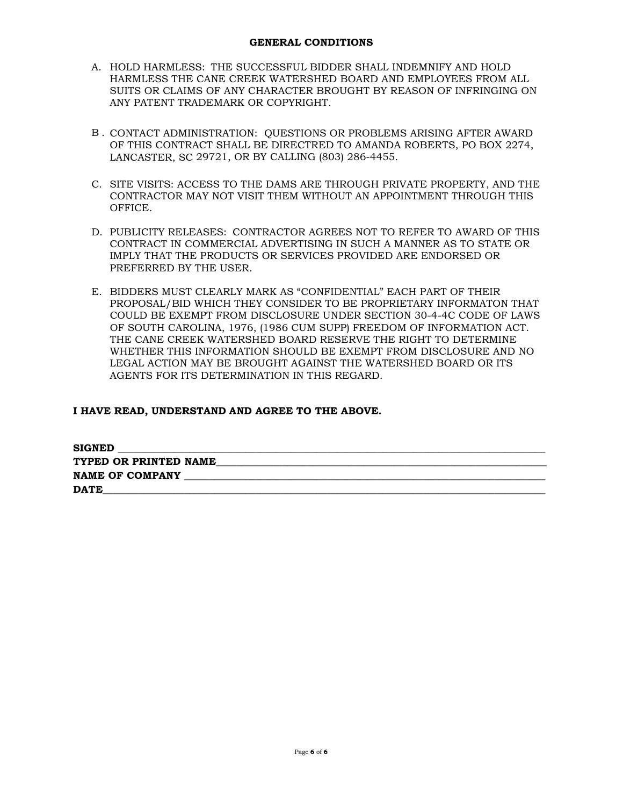- A. HOLD HARMLESS: THE SUCCESSFUL BIDDER SHALL INDEMNIFY AND HOLD HARMLESS THE CANE CREEK WATERSHED BOARD AND EMPLOYEES FROM ALL SUITS OR CLAIMS OF ANY CHARACTER BROUGHT BY REASON OF INFRINGING ON ANY PATENT TRADEMARK OR COPYRIGHT.
- B . CONTACT ADMINISTRATION: QUESTIONS OR PROBLEMS ARISING AFTER AWARD OF THIS CONTRACT SHALL BE DIRECTRED TO AMANDA ROBERTS, PO BOX 2274, LANCASTER, SC 29721, OR BY CALLING (803) 286-4455.
- C. SITE VISITS: ACCESS TO THE DAMS ARE THROUGH PRIVATE PROPERTY, AND THE CONTRACTOR MAY NOT VISIT THEM WITHOUT AN APPOINTMENT THROUGH THIS OFFICE.
- D. PUBLICITY RELEASES: CONTRACTOR AGREES NOT TO REFER TO AWARD OF THIS CONTRACT IN COMMERCIAL ADVERTISING IN SUCH A MANNER AS TO STATE OR IMPLY THAT THE PRODUCTS OR SERVICES PROVIDED ARE ENDORSED OR PREFERRED BY THE USER.
- E. BIDDERS MUST CLEARLY MARK AS "CONFIDENTIAL" EACH PART OF THEIR PROPOSAL/BID WHICH THEY CONSIDER TO BE PROPRIETARY INFORMATON THAT COULD BE EXEMPT FROM DISCLOSURE UNDER SECTION 30-4-4C CODE OF LAWS OF SOUTH CAROLINA, 1976, (1986 CUM SUPP) FREEDOM OF INFORMATION ACT. THE CANE CREEK WATERSHED BOARD RESERVE THE RIGHT TO DETERMINE WHETHER THIS INFORMATION SHOULD BE EXEMPT FROM DISCLOSURE AND NO LEGAL ACTION MAY BE BROUGHT AGAINST THE WATERSHED BOARD OR ITS AGENTS FOR ITS DETERMINATION IN THIS REGARD.

#### **I HAVE READ, UNDERSTAND AND AGREE TO THE ABOVE.**

| <b>SIGNED</b>          |  |
|------------------------|--|
| TYPED OR PRINTED NAME  |  |
| <b>NAME OF COMPANY</b> |  |
| <b>DATE</b>            |  |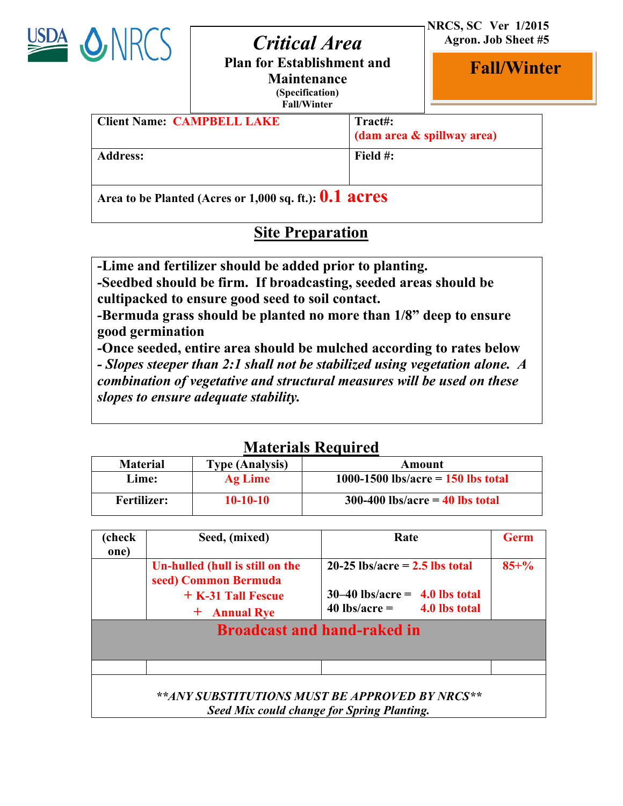

# **Jan. 2014** *Critical Area* **Plan for Establishment and**

 **NRCS, SC Ver 1/2015 Agron. Job Sheet #5**

i

**Fall/Winter**

**Maintenance (Specification)**

**Fall/Winter**

| <b>Client Name: CAMPBELL LAKE</b>                        | Tract#:<br>(dam area & spillway area) |
|----------------------------------------------------------|---------------------------------------|
| <b>Address:</b>                                          | Field $#$ :                           |
| Area to be Planted (Acres or 1,000 sq. ft.): $0.1$ acres |                                       |

## **Site Preparation**

**-Lime and fertilizer should be added prior to planting.**

**-Seedbed should be firm. If broadcasting, seeded areas should be cultipacked to ensure good seed to soil contact.** 

**-Bermuda grass should be planted no more than 1/8" deep to ensure good germination**

**-Once seeded, entire area should be mulched according to rates below** *- Slopes steeper than 2:1 shall not be stabilized using vegetation alone. A combination of vegetative and structural measures will be used on these slopes to ensure adequate stability.*

### **Materials Required**

| <b>Material</b>    | <b>Type (Analysis)</b> | Amount                               |
|--------------------|------------------------|--------------------------------------|
| Lime:              | <b>Ag Lime</b>         | 1000-1500 lbs/acre = $150$ lbs total |
| <b>Fertilizer:</b> | $10-10-10$             | $300-400$ lbs/acre = 40 lbs total    |

| (check<br>one)                     | Seed, (mixed)                                                                                   | Rate                                                                                                    | <b>Germ</b> |
|------------------------------------|-------------------------------------------------------------------------------------------------|---------------------------------------------------------------------------------------------------------|-------------|
|                                    | Un-hulled (hull is still on the<br>seed) Common Bermuda<br>$+$ K-31 Tall Fescue<br>+ Annual Rye | $20-25$ lbs/acre = 2.5 lbs total<br>$30-40$ lbs/acre = 4.0 lbs total<br>$40$ lbs/acre = $4.0$ lbs total | $85 + \%$   |
| <b>Broadcast and hand-raked in</b> |                                                                                                 |                                                                                                         |             |
|                                    |                                                                                                 |                                                                                                         |             |
|                                    | **ANY SUBSTITUTIONS MUST BE APPROVED BY NRCS**<br>Seed Mix could change for Spring Planting.    |                                                                                                         |             |